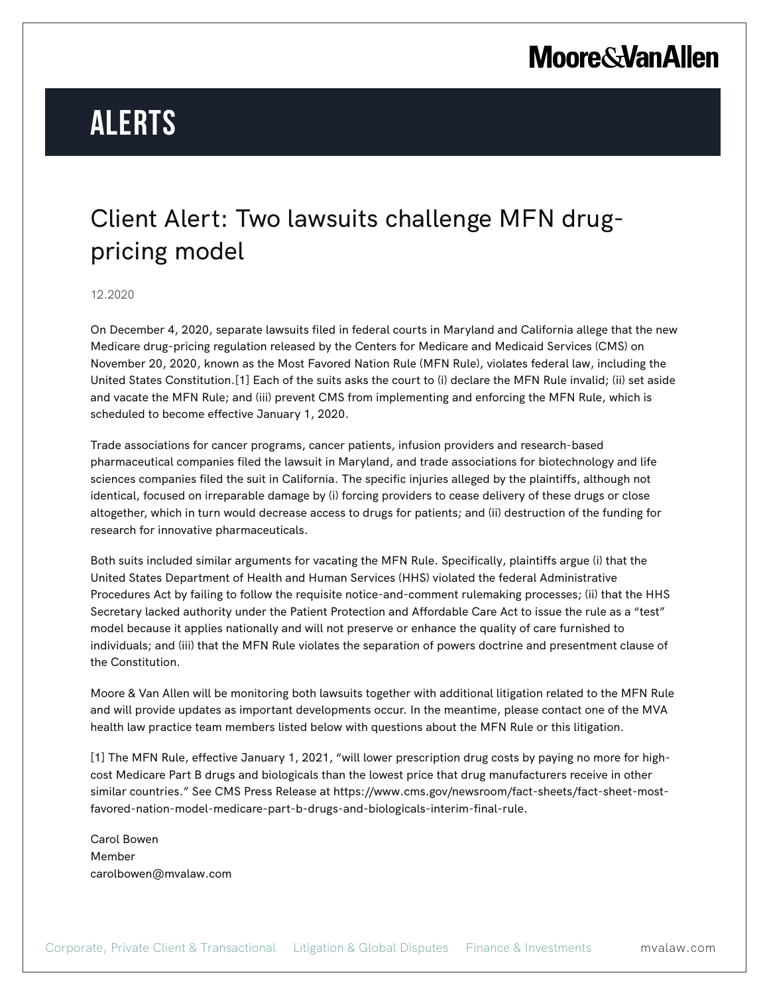# **Moore & Van Allen**

# **Alerts**

### Client Alert: Two lawsuits challenge MFN drugpricing model

#### 12.2020

On December 4, 2020, separate lawsuits filed in federal courts in Maryland and California allege that the new Medicare drug-pricing regulation released by the Centers for Medicare and Medicaid Services (CMS) on November 20, 2020, known as the Most Favored Nation Rule (MFN Rule), violates federal law, including the United States Constitution.[1] Each of the suits asks the court to (i) declare the MFN Rule invalid; (ii) set aside and vacate the MFN Rule; and (iii) prevent CMS from implementing and enforcing the MFN Rule, which is scheduled to become effective January 1, 2020.

Trade associations for cancer programs, cancer patients, infusion providers and research-based pharmaceutical companies filed the lawsuit in Maryland, and trade associations for biotechnology and life sciences companies filed the suit in California. The specific injuries alleged by the plaintiffs, although not identical, focused on irreparable damage by (i) forcing providers to cease delivery of these drugs or close altogether, which in turn would decrease access to drugs for patients; and (ii) destruction of the funding for research for innovative pharmaceuticals.

Both suits included similar arguments for vacating the MFN Rule. Specifically, plaintiffs argue (i) that the United States Department of Health and Human Services (HHS) violated the federal Administrative Procedures Act by failing to follow the requisite notice-and-comment rulemaking processes; (ii) that the HHS Secretary lacked authority under the Patient Protection and Affordable Care Act to issue the rule as a "test" model because it applies nationally and will not preserve or enhance the quality of care furnished to individuals; and (iii) that the MFN Rule violates the separation of powers doctrine and presentment clause of the Constitution.

Moore & Van Allen will be monitoring both lawsuits together with additional litigation related to the MFN Rule and will provide updates as important developments occur. In the meantime, please contact one of the MVA health law practice team members listed below with questions about the MFN Rule or this litigation.

[1] The MFN Rule, effective January 1, 2021, "will lower prescription drug costs by paying no more for highcost Medicare Part B drugs and biologicals than the lowest price that drug manufacturers receive in other similar countries." See CMS Press Release at https://www.cms.gov/newsroom/fact-sheets/fact-sheet-mostfavored-nation-model-medicare-part-b-drugs-and-biologicals-interim-final-rule.

Carol Bowen Member carolbowen@mvalaw.com